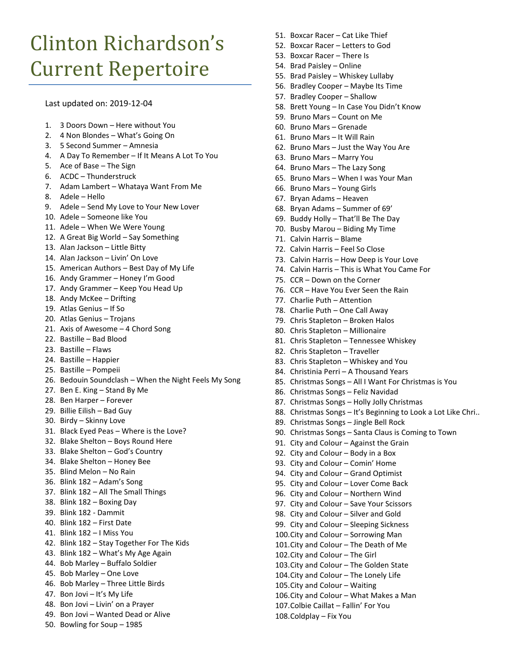## Clinton Richardson's Current Repertoire

Last updated on: 2019-12-04

- 1. 3 Doors Down Here without You
- 2. 4 Non Blondes What's Going On
- 3. 5 Second Summer Amnesia
- 4. A Day To Remember If It Means A Lot To You
- 5. Ace of Base The Sign
- 6. ACDC Thunderstruck
- 7. Adam Lambert Whataya Want From Me
- 8. Adele Hello
- 9. Adele Send My Love to Your New Lover
- 10. Adele Someone like You
- 11. Adele When We Were Young
- 12. A Great Big World Say Something
- 13. Alan Jackson Little Bitty
- 14. Alan Jackson Livin' On Love
- 15. American Authors Best Day of My Life
- 16. Andy Grammer Honey I'm Good
- 17. Andy Grammer Keep You Head Up
- 18. Andy McKee Drifting
- 19. Atlas Genius If So
- 20. Atlas Genius Trojans
- 21. Axis of Awesome 4 Chord Song
- 22. Bastille Bad Blood
- 23. Bastille Flaws
- 24. Bastille Happier
- 25. Bastille Pompeii
- 26. Bedouin Soundclash When the Night Feels My Song
- 27. Ben E. King Stand By Me
- 28. Ben Harper Forever
- 29. Billie Eilish Bad Guy
- 30. Birdy Skinny Love
- 31. Black Eyed Peas Where is the Love?
- 32. Blake Shelton Boys Round Here
- 33. Blake Shelton God's Country
- 34. Blake Shelton Honey Bee
- 35. Blind Melon No Rain
- 36. Blink 182 Adam's Song
- 37. Blink 182 All The Small Things
- 38. Blink 182 Boxing Day
- 39. Blink 182 Dammit
- 40. Blink 182 First Date
- 41. Blink 182 I Miss You
- 42. Blink 182 Stay Together For The Kids
- 43. Blink 182 What's My Age Again
- 44. Bob Marley Buffalo Soldier
- 45. Bob Marley One Love
- 46. Bob Marley Three Little Birds
- 47. Bon Jovi It's My Life
- 48. Bon Jovi Livin' on a Prayer
- 49. Bon Jovi Wanted Dead or Alive
- 50. Bowling for Soup 1985
- 51. Boxcar Racer Cat Like Thief
- 52. Boxcar Racer Letters to God
- 53. Boxcar Racer There Is
- 54. Brad Paisley Online
- 55. Brad Paisley Whiskey Lullaby
- 56. Bradley Cooper Maybe Its Time
- 57. Bradley Cooper Shallow
- 58. Brett Young In Case You Didn't Know
- 59. Bruno Mars Count on Me
- 60. Bruno Mars Grenade
- 61. Bruno Mars It Will Rain
- 62. Bruno Mars Just the Way You Are
- 63. Bruno Mars Marry You
- 64. Bruno Mars The Lazy Song
- 65. Bruno Mars When I was Your Man
- 66. Bruno Mars Young Girls
- 67. Bryan Adams Heaven
- 68. Bryan Adams Summer of 69'
- 69. Buddy Holly That'll Be The Day
- 70. Busby Marou Biding My Time
- 71. Calvin Harris Blame
- 72. Calvin Harris Feel So Close
- 73. Calvin Harris How Deep is Your Love
- 74. Calvin Harris This is What You Came For
- 75. CCR Down on the Corner
- 76. CCR Have You Ever Seen the Rain
- 77. Charlie Puth Attention
- 78. Charlie Puth One Call Away
- 79. Chris Stapleton Broken Halos
- 80. Chris Stapleton Millionaire
- 81. Chris Stapleton Tennessee Whiskey
- 82. Chris Stapleton Traveller
- 83. Chris Stapleton Whiskey and You
- 84. Christinia Perri A Thousand Years
- 85. Christmas Songs All I Want For Christmas is You
- 86. Christmas Songs Feliz Navidad
- 87. Christmas Songs Holly Jolly Christmas
- 88. Christmas Songs It's Beginning to Look a Lot Like Chri..
- 89. Christmas Songs Jingle Bell Rock
- 90. Christmas Songs Santa Claus is Coming to Town
- 91. City and Colour Against the Grain
- 92. City and Colour Body in a Box
- 93. City and Colour Comin' Home
- 94. City and Colour Grand Optimist
- 95. City and Colour Lover Come Back
- 96. City and Colour Northern Wind
- 97. City and Colour Save Your Scissors
- 98. City and Colour Silver and Gold 99. City and Colour – Sleeping Sickness

100.City and Colour – Sorrowing Man 101.City and Colour – The Death of Me

103.City and Colour – The Golden State 104.City and Colour – The Lonely Life 105.City and Colour – Waiting

106.City and Colour – What Makes a Man 107.Colbie Caillat – Fallin' For You

102.City and Colour – The Girl

108.Coldplay – Fix You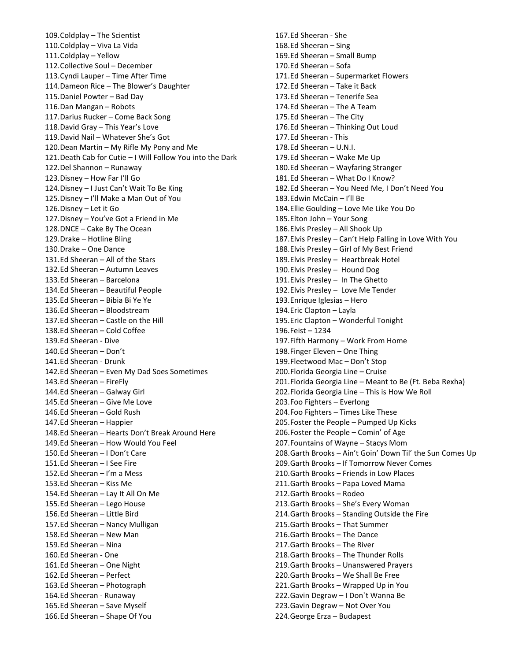109.Coldplay – The Scientist 110.Coldplay – Viva La Vida 111.Coldplay – Yellow 112.Collective Soul – December 113.Cyndi Lauper – Time After Time 114.Dameon Rice – The Blower's Daughter 115.Daniel Powter – Bad Day 116.Dan Mangan – Robots 117.Darius Rucker – Come Back Song 118.David Gray – This Year's Love 119.David Nail – Whatever She's Got 120.Dean Martin – My Rifle My Pony and Me 121.Death Cab for Cutie – I Will Follow You into the Dark 122.Del Shannon – Runaway 123.Disney – How Far I'll Go 124.Disney – I Just Can't Wait To Be King 125.Disney – I'll Make a Man Out of You 126.Disney – Let it Go 127.Disney – You've Got a Friend in Me 128.DNCE – Cake By The Ocean 129.Drake – Hotline Bling 130.Drake – One Dance 131.Ed Sheeran – All of the Stars 132.Ed Sheeran – Autumn Leaves 133.Ed Sheeran – Barcelona 134.Ed Sheeran – Beautiful People 135.Ed Sheeran – Bibia Bi Ye Ye 136.Ed Sheeran – Bloodstream 137.Ed Sheeran – Castle on the Hill 138.Ed Sheeran – Cold Coffee 139.Ed Sheeran - Dive 140.Ed Sheeran – Don't 141.Ed Sheeran - Drunk 142.Ed Sheeran – Even My Dad Soes Sometimes 143.Ed Sheeran – FireFly 144.Ed Sheeran – Galway Girl 145.Ed Sheeran – Give Me Love 146.Ed Sheeran – Gold Rush 147.Ed Sheeran – Happier 148.Ed Sheeran – Hearts Don't Break Around Here 149.Ed Sheeran – How Would You Feel 150.Ed Sheeran – I Don't Care 151.Ed Sheeran – I See Fire 152.Ed Sheeran – I'm a Mess 153.Ed Sheeran – Kiss Me 154.Ed Sheeran – Lay It All On Me 155.Ed Sheeran – Lego House 156.Ed Sheeran – Little Bird 157.Ed Sheeran – Nancy Mulligan 158.Ed Sheeran – New Man 159.Ed Sheeran – Nina 160.Ed Sheeran - One 161.Ed Sheeran – One Night 162.Ed Sheeran – Perfect 163.Ed Sheeran – Photograph 164.Ed Sheeran - Runaway 165.Ed Sheeran – Save Myself 166.Ed Sheeran – Shape Of You

167.Ed Sheeran - She 168.Ed Sheeran – Sing 169.Ed Sheeran – Small Bump 170.Ed Sheeran – Sofa 171.Ed Sheeran – Supermarket Flowers 172.Ed Sheeran – Take it Back 173.Ed Sheeran – Tenerife Sea 174.Ed Sheeran – The A Team 175.Ed Sheeran – The City 176.Ed Sheeran – Thinking Out Loud 177.Ed Sheeran - This 178.Ed Sheeran – U.N.I. 179.Ed Sheeran – Wake Me Up 180.Ed Sheeran – Wayfaring Stranger 181.Ed Sheeran – What Do I Know? 182.Ed Sheeran – You Need Me, I Don't Need You 183.Edwin McCain – I'll Be 184.Ellie Goulding – Love Me Like You Do 185.Elton John – Your Song 186.Elvis Presley – All Shook Up 187.Elvis Presley – Can't Help Falling in Love With You 188.Elvis Presley – Girl of My Best Friend 189.Elvis Presley – Heartbreak Hotel 190.Elvis Presley – Hound Dog 191.Elvis Presley – In The Ghetto 192.Elvis Presley – Love Me Tender 193.Enrique Iglesias – Hero 194.Eric Clapton – Layla 195.Eric Clapton – Wonderful Tonight 196.Feist – 1234 197.Fifth Harmony – Work From Home 198.Finger Eleven – One Thing 199.Fleetwood Mac – Don't Stop 200.Florida Georgia Line – Cruise 201.Florida Georgia Line – Meant to Be (Ft. Beba Rexha) 202.Florida Georgia Line – This is How We Roll 203.Foo Fighters – Everlong 204.Foo Fighters – Times Like These 205.Foster the People – Pumped Up Kicks 206.Foster the People – Comin' of Age 207.Fountains of Wayne – Stacys Mom 208.Garth Brooks – Ain't Goin' Down Til' the Sun Comes Up 209.Garth Brooks – If Tomorrow Never Comes 210.Garth Brooks – Friends in Low Places 211.Garth Brooks – Papa Loved Mama 212.Garth Brooks – Rodeo 213.Garth Brooks – She's Every Woman 214.Garth Brooks – Standing Outside the Fire 215.Garth Brooks – That Summer 216.Garth Brooks – The Dance 217.Garth Brooks – The River 218.Garth Brooks – The Thunder Rolls 219.Garth Brooks – Unanswered Prayers 220.Garth Brooks – We Shall Be Free 221.Garth Brooks – Wrapped Up in You 222.Gavin Degraw – I Don`t Wanna Be 223.Gavin Degraw – Not Over You 224.George Erza – Budapest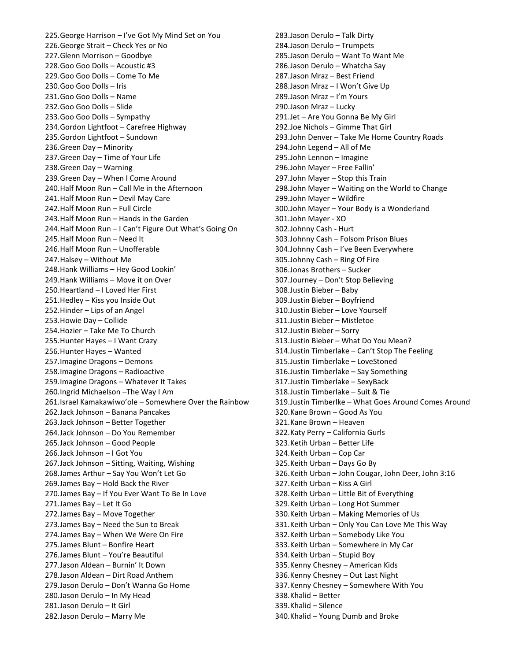225.George Harrison – I've Got My Mind Set on You 226.George Strait – Check Yes or No 227.Glenn Morrison – Goodbye 228.Goo Goo Dolls – Acoustic #3 229.Goo Goo Dolls – Come To Me 230.Goo Goo Dolls – Iris 231.Goo Goo Dolls – Name 232.Goo Goo Dolls – Slide 233.Goo Goo Dolls – Sympathy 234.Gordon Lightfoot – Carefree Highway 235.Gordon Lightfoot – Sundown 236.Green Day – Minority 237.Green Day – Time of Your Life 238.Green Day – Warning 239.Green Day – When I Come Around 240.Half Moon Run – Call Me in the Afternoon 241.Half Moon Run – Devil May Care 242.Half Moon Run – Full Circle 243.Half Moon Run – Hands in the Garden 244.Half Moon Run – I Can't Figure Out What's Going On 245.Half Moon Run – Need It 246.Half Moon Run – Unofferable 247.Halsey – Without Me 248.Hank Williams – Hey Good Lookin' 249.Hank Williams – Move it on Over 250.Heartland – I Loved Her First 251.Hedley – Kiss you Inside Out 252.Hinder – Lips of an Angel 253.Howie Day – Collide 254.Hozier – Take Me To Church 255.Hunter Hayes – I Want Crazy 256.Hunter Hayes – Wanted 257.Imagine Dragons – Demons 258.Imagine Dragons – Radioactive 259.Imagine Dragons – Whatever It Takes 260.Ingrid Michaelson –The Way I Am 261.Israel Kamakawiwo'ole – Somewhere Over the Rainbow 262.Jack Johnson – Banana Pancakes 263.Jack Johnson – Better Together 264.Jack Johnson – Do You Remember 265.Jack Johnson – Good People 266.Jack Johnson – I Got You 267.Jack Johnson – Sitting, Waiting, Wishing 268.James Arthur – Say You Won't Let Go 269.James Bay – Hold Back the River 270.James Bay – If You Ever Want To Be In Love 271.James Bay – Let It Go 272.James Bay – Move Together 273.James Bay – Need the Sun to Break 274.James Bay – When We Were On Fire 275.James Blunt – Bonfire Heart 276.James Blunt – You're Beautiful 277.Jason Aldean – Burnin' It Down 278.Jason Aldean – Dirt Road Anthem 279.Jason Derulo – Don't Wanna Go Home 280.Jason Derulo – In My Head 281.Jason Derulo – It Girl 282.Jason Derulo – Marry Me

283.Jason Derulo – Talk Dirty 284.Jason Derulo – Trumpets 285.Jason Derulo – Want To Want Me 286.Jason Derulo – Whatcha Say 287.Jason Mraz – Best Friend 288.Jason Mraz – I Won't Give Up 289.Jason Mraz – I'm Yours 290.Jason Mraz – Lucky 291.Jet – Are You Gonna Be My Girl 292.Joe Nichols – Gimme That Girl 293.John Denver – Take Me Home Country Roads 294.John Legend – All of Me 295.John Lennon – Imagine 296.John Mayer – Free Fallin' 297.John Mayer – Stop this Train 298.John Mayer – Waiting on the World to Change 299.John Mayer – Wildfire 300.John Mayer – Your Body is a Wonderland 301.John Mayer - XO 302.Johnny Cash - Hurt 303.Johnny Cash – Folsom Prison Blues 304.Johnny Cash – I've Been Everywhere 305.Johnny Cash – Ring Of Fire 306.Jonas Brothers – Sucker 307.Journey – Don't Stop Believing 308.Justin Bieber – Baby 309.Justin Bieber – Boyfriend 310.Justin Bieber – Love Yourself 311.Justin Bieber – Mistletoe 312.Justin Bieber – Sorry 313.Justin Bieber – What Do You Mean? 314.Justin Timberlake – Can't Stop The Feeling 315.Justin Timberlake – LoveStoned 316.Justin Timberlake – Say Something 317.Justin Timberlake – SexyBack 318.Justin Timberlake – Suit & Tie 319.Justin Timberlke – What Goes Around Comes Around 320.Kane Brown – Good As You 321.Kane Brown – Heaven 322.Katy Perry – California Gurls 323.Ketih Urban – Better Life 324.Keith Urban – Cop Car 325.Keith Urban – Days Go By 326.Keith Urban – John Cougar, John Deer, John 3:16 327.Keith Urban – Kiss A Girl 328.Keith Urban – Little Bit of Everything 329.Keith Urban – Long Hot Summer 330.Keith Urban – Making Memories of Us 331.Keith Urban – Only You Can Love Me This Way 332.Keith Urban – Somebody Like You 333.Keith Urban – Somewhere in My Car 334.Keith Urban – Stupid Boy 335.Kenny Chesney – American Kids 336.Kenny Chesney – Out Last Night 337.Kenny Chesney – Somewhere With You 338.Khalid – Better 339.Khalid – Silence 340.Khalid – Young Dumb and Broke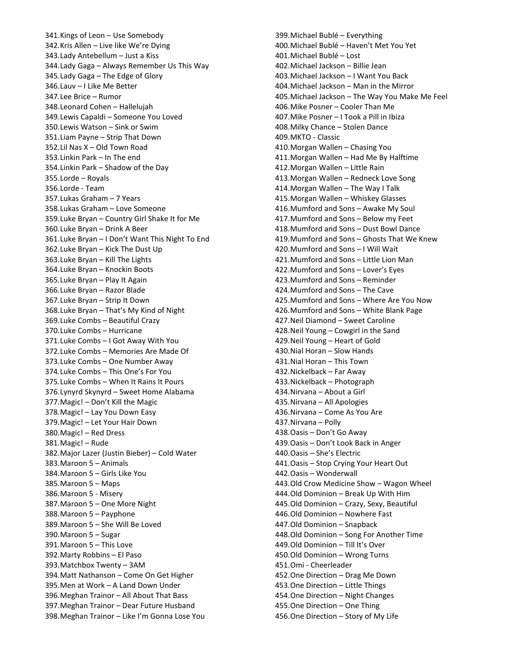341.Kings of Leon – Use Somebody 342.Kris Allen – Live like We're Dying 343.Lady Antebellum – Just a Kiss 344.Lady Gaga – Always Remember Us This Way 345.Lady Gaga – The Edge of Glory 346.Lauv – I Like Me Better 347.Lee Brice – Rumor 348.Leonard Cohen – Hallelujah 349.Lewis Capaldi – Someone You Loved 350.Lewis Watson – Sink or Swim 351.Liam Payne – Strip That Down 352.Lil Nas X – Old Town Road 353.Linkin Park – In The end 354.Linkin Park – Shadow of the Day 355.Lorde – Royals 356.Lorde - Team 357.Lukas Graham – 7 Years 358.Lukas Graham – Love Someone 359.Luke Bryan – Country Girl Shake It for Me 360.Luke Bryan – Drink A Beer 361.Luke Bryan – I Don't Want This Night To End 362.Luke Bryan – Kick The Dust Up 363.Luke Bryan – Kill The Lights 364.Luke Bryan – Knockin Boots 365.Luke Bryan – Play It Again 366.Luke Bryan – Razor Blade 367.Luke Bryan – Strip It Down 368.Luke Bryan – That's My Kind of Night 369.Luke Combs – Beautiful Crazy 370.Luke Combs – Hurricane 371.Luke Combs – I Got Away With You 372.Luke Combs – Memories Are Made Of 373.Luke Combs – One Number Away 374.Luke Combs – This One's For You 375.Luke Combs – When It Rains It Pours 376.Lynyrd Skynyrd – Sweet Home Alabama 377.Magic! – Don't Kill the Magic 378.Magic! – Lay You Down Easy 379.Magic! – Let Your Hair Down 380.Magic! – Red Dress 381.Magic! – Rude 382.Major Lazer (Justin Bieber) – Cold Water 383.Maroon 5 – Animals 384.Maroon 5 – Girls Like You 385.Maroon 5 – Maps 386.Maroon 5 - Misery 387.Maroon 5 – One More Night 388.Maroon 5 – Payphone 389.Maroon 5 – She Will Be Loved 390.Maroon 5 – Sugar 391.Maroon 5 – This Love 392.Marty Robbins – El Paso 393.Matchbox Twenty – 3AM 394.Matt Nathanson – Come On Get Higher 395.Men at Work – A Land Down Under 396.Meghan Trainor – All About That Bass 397.Meghan Trainor – Dear Future Husband 398.Meghan Trainor – Like I'm Gonna Lose You

399.Michael Bublé – Everything 400.Michael Bublé – Haven't Met You Yet 401.Michael Bublé – Lost 402.Michael Jackson – Billie Jean 403.Michael Jackson – I Want You Back 404.Michael Jackson – Man in the Mirror 405.Michael Jackson – The Way You Make Me Feel 406.Mike Posner – Cooler Than Me 407.Mike Posner – I Took a Pill in Ibiza 408.Milky Chance – Stolen Dance 409.MKTO - Classic 410.Morgan Wallen – Chasing You 411.Morgan Wallen – Had Me By Halftime 412.Morgan Wallen – Little Rain 413.Morgan Wallen – Redneck Love Song 414.Morgan Wallen – The Way I Talk 415.Morgan Wallen – Whiskey Glasses 416.Mumford and Sons – Awake My Soul 417.Mumford and Sons – Below my Feet 418.Mumford and Sons – Dust Bowl Dance 419.Mumford and Sons – Ghosts That We Knew 420.Mumford and Sons – I Will Wait 421.Mumford and Sons – Little Lion Man 422.Mumford and Sons – Lover's Eyes 423.Mumford and Sons – Reminder 424.Mumford and Sons – The Cave 425.Mumford and Sons – Where Are You Now 426.Mumford and Sons – White Blank Page 427.Neil Diamond – Sweet Caroline 428.Neil Young – Cowgirl in the Sand 429.Neil Young – Heart of Gold 430.Nial Horan – Slow Hands 431.Nial Horan – This Town 432.Nickelback – Far Away 433.Nickelback – Photograph 434.Nirvana – About a Girl 435.Nirvana – All Apologies 436.Nirvana – Come As You Are 437.Nirvana – Polly 438.Oasis – Don't Go Away 439.Oasis – Don't Look Back in Anger 440.Oasis – She's Electric 441.Oasis – Stop Crying Your Heart Out 442.Oasis – Wonderwall 443.Old Crow Medicine Show – Wagon Wheel 444.Old Dominion – Break Up With Him 445.Old Dominion – Crazy, Sexy, Beautiful 446.Old Dominion – Nowhere Fast 447.Old Dominion – Snapback 448.Old Dominion – Song For Another Time 449.Old Dominion – Till It's Over 450.Old Dominion – Wrong Turns 451.Omi - Cheerleader 452.One Direction – Drag Me Down 453.One Direction – Little Things 454.One Direction – Night Changes 455.One Direction – One Thing 456.One Direction – Story of My Life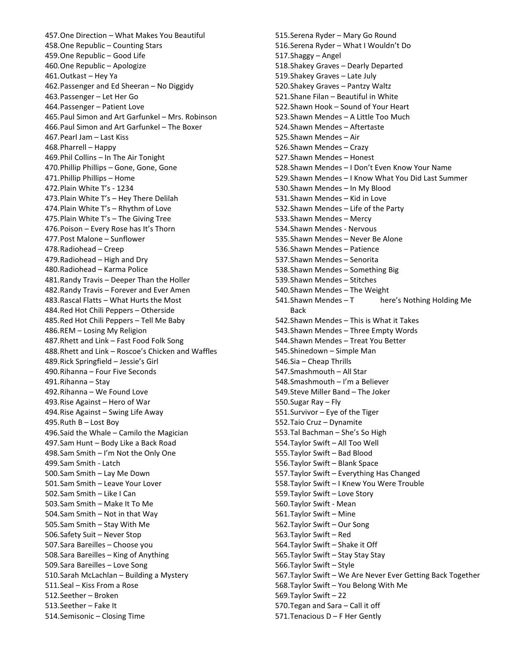457.One Direction – What Makes You Beautiful 458.One Republic – Counting Stars 459.One Republic – Good Life 460.One Republic – Apologize 461.Outkast – Hey Ya 462.Passenger and Ed Sheeran – No Diggidy 463.Passenger – Let Her Go 464.Passenger – Patient Love 465.Paul Simon and Art Garfunkel – Mrs. Robinson 466.Paul Simon and Art Garfunkel – The Boxer 467.Pearl Jam – Last Kiss 468.Pharrell – Happy 469.Phil Collins – In The Air Tonight 470.Phillip Phillips – Gone, Gone, Gone 471.Phillip Phillips – Home 472.Plain White T's - 1234 473.Plain White T's – Hey There Delilah 474.Plain White T's – Rhythm of Love 475.Plain White T's – The Giving Tree 476.Poison – Every Rose has It's Thorn 477.Post Malone – Sunflower 478.Radiohead – Creep 479.Radiohead – High and Dry 480.Radiohead – Karma Police 481.Randy Travis – Deeper Than the Holler 482.Randy Travis – Forever and Ever Amen 483.Rascal Flatts – What Hurts the Most 484.Red Hot Chili Peppers – Otherside 485.Red Hot Chili Peppers – Tell Me Baby 486.REM – Losing My Religion 487.Rhett and Link – Fast Food Folk Song 488.Rhett and Link – Roscoe's Chicken and Waffles 489.Rick Springfield – Jessie's Girl 490.Rihanna – Four Five Seconds 491.Rihanna – Stay 492.Rihanna – We Found Love 493.Rise Against – Hero of War 494.Rise Against – Swing Life Away 495.Ruth B – Lost Boy 496.Said the Whale – Camilo the Magician 497.Sam Hunt – Body Like a Back Road 498.Sam Smith – I'm Not the Only One 499.Sam Smith - Latch 500.Sam Smith – Lay Me Down 501.Sam Smith – Leave Your Lover 502.Sam Smith – Like I Can 503.Sam Smith – Make It To Me 504.Sam Smith – Not in that Way 505.Sam Smith – Stay With Me 506.Safety Suit – Never Stop 507.Sara Bareilles – Choose you 508.Sara Bareilles – King of Anything 509.Sara Bareilles – Love Song 510.Sarah McLachlan – Building a Mystery 511.Seal – Kiss From a Rose 512.Seether – Broken 513.Seether – Fake It 514.Semisonic – Closing Time

515.Serena Ryder – Mary Go Round 516.Serena Ryder – What I Wouldn't Do 517.Shaggy – Angel 518.Shakey Graves – Dearly Departed 519.Shakey Graves – Late July 520.Shakey Graves – Pantzy Waltz 521.Shane Filan – Beautiful in White 522.Shawn Hook – Sound of Your Heart 523.Shawn Mendes – A Little Too Much 524.Shawn Mendes – Aftertaste 525.Shawn Mendes – Air 526.Shawn Mendes – Crazy 527.Shawn Mendes – Honest 528.Shawn Mendes – I Don't Even Know Your Name 529.Shawn Mendes – I Know What You Did Last Summer 530.Shawn Mendes – In My Blood 531.Shawn Mendes – Kid in Love 532.Shawn Mendes – Life of the Party 533.Shawn Mendes – Mercy 534.Shawn Mendes - Nervous 535.Shawn Mendes – Never Be Alone 536.Shawn Mendes – Patience 537.Shawn Mendes – Senorita 538.Shawn Mendes – Something Big 539.Shawn Mendes – Stitches 540.Shawn Mendes – The Weight 541. Shawn Mendes – T here's Nothing Holding Me Back 542.Shawn Mendes – This is What it Takes 543.Shawn Mendes – Three Empty Words 544.Shawn Mendes – Treat You Better 545.Shinedown – Simple Man 546.Sia – Cheap Thrills 547.Smashmouth – All Star 548.Smashmouth – I'm a Believer 549.Steve Miller Band – The Joker 550.Sugar Ray – Fly 551.Survivor – Eye of the Tiger 552.Taio Cruz – Dynamite 553.Tal Bachman – She's So High 554.Taylor Swift – All Too Well 555.Taylor Swift – Bad Blood 556.Taylor Swift – Blank Space 557.Taylor Swift – Everything Has Changed 558.Taylor Swift – I Knew You Were Trouble 559.Taylor Swift – Love Story 560.Taylor Swift - Mean 561.Taylor Swift – Mine 562.Taylor Swift – Our Song 563.Taylor Swift – Red 564.Taylor Swift – Shake it Off 565.Taylor Swift – Stay Stay Stay 566.Taylor Swift – Style 567.Taylor Swift – We Are Never Ever Getting Back Together 568.Taylor Swift – You Belong With Me 569.Taylor Swift – 22 570.Tegan and Sara – Call it off 571.Tenacious D – F Her Gently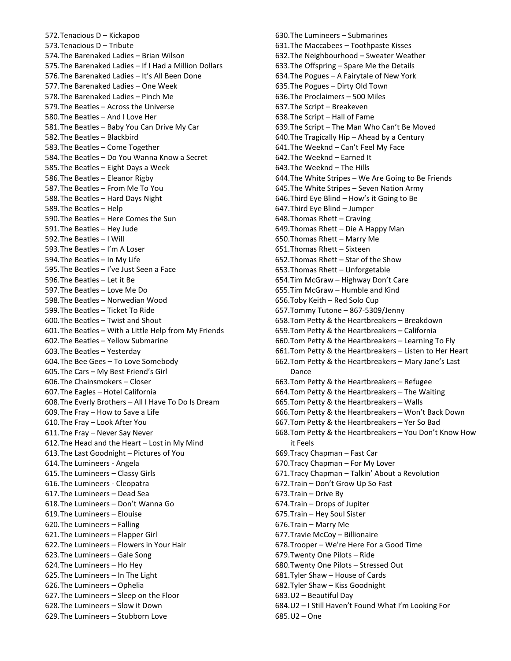572.Tenacious D – Kickapoo 573.Tenacious D – Tribute 574.The Barenaked Ladies – Brian Wilson 575.The Barenaked Ladies – If I Had a Million Dollars 576.The Barenaked Ladies – It's All Been Done 577.The Barenaked Ladies – One Week 578.The Barenaked Ladies – Pinch Me 579.The Beatles – Across the Universe 580.The Beatles – And I Love Her 581.The Beatles – Baby You Can Drive My Car 582.The Beatles – Blackbird 583.The Beatles – Come Together 584.The Beatles – Do You Wanna Know a Secret 585.The Beatles – Eight Days a Week 586.The Beatles – Eleanor Rigby 587.The Beatles – From Me To You 588.The Beatles – Hard Days Night 589.The Beatles – Help 590.The Beatles – Here Comes the Sun 591.The Beatles – Hey Jude 592.The Beatles – I Will 593.The Beatles – I'm A Loser 594.The Beatles – In My Life 595.The Beatles – I've Just Seen a Face 596.The Beatles – Let it Be 597.The Beatles – Love Me Do 598.The Beatles – Norwedian Wood 599.The Beatles – Ticket To Ride 600.The Beatles – Twist and Shout 601.The Beatles – With a Little Help from My Friends 602.The Beatles – Yellow Submarine 603.The Beatles – Yesterday 604.The Bee Gees – To Love Somebody 605.The Cars – My Best Friend's Girl 606.The Chainsmokers – Closer 607.The Eagles – Hotel California 608.The Everly Brothers – All I Have To Do Is Dream 609.The Fray – How to Save a Life 610.The Fray – Look After You 611.The Fray – Never Say Never 612.The Head and the Heart – Lost in My Mind 613.The Last Goodnight – Pictures of You 614.The Lumineers - Angela 615.The Lumineers – Classy Girls 616.The Lumineers - Cleopatra 617.The Lumineers – Dead Sea 618.The Lumineers – Don't Wanna Go 619.The Lumineers – Elouise 620.The Lumineers – Falling 621.The Lumineers – Flapper Girl 622.The Lumineers – Flowers in Your Hair 623.The Lumineers – Gale Song 624.The Lumineers – Ho Hey 625.The Lumineers – In The Light 626.The Lumineers – Ophelia 627.The Lumineers – Sleep on the Floor 628.The Lumineers – Slow it Down 629.The Lumineers – Stubborn Love

630.The Lumineers – Submarines 631.The Maccabees – Toothpaste Kisses 632.The Neighbourhood – Sweater Weather 633.The Offspring – Spare Me the Details 634.The Pogues – A Fairytale of New York 635.The Pogues – Dirty Old Town 636.The Proclaimers – 500 Miles 637.The Script – Breakeven 638.The Script – Hall of Fame 639.The Script – The Man Who Can't Be Moved 640.The Tragically Hip – Ahead by a Century 641.The Weeknd – Can't Feel My Face 642.The Weeknd – Earned It 643.The Weeknd – The Hills 644.The White Stripes – We Are Going to Be Friends 645.The White Stripes – Seven Nation Army 646.Third Eye Blind – How's it Going to Be 647.Third Eye Blind – Jumper 648.Thomas Rhett – Craving 649.Thomas Rhett – Die A Happy Man 650.Thomas Rhett – Marry Me 651.Thomas Rhett – Sixteen 652.Thomas Rhett – Star of the Show 653.Thomas Rhett – Unforgetable 654.Tim McGraw – Highway Don't Care 655.Tim McGraw – Humble and Kind 656.Toby Keith – Red Solo Cup 657.Tommy Tutone – 867-5309/Jenny 658.Tom Petty & the Heartbreakers – Breakdown 659.Tom Petty & the Heartbreakers – California 660.Tom Petty & the Heartbreakers – Learning To Fly 661.Tom Petty & the Heartbreakers – Listen to Her Heart 662.Tom Petty & the Heartbreakers – Mary Jane's Last Dance 663.Tom Petty & the Heartbreakers – Refugee 664.Tom Petty & the Heartbreakers – The Waiting 665.Tom Petty & the Heartbreakers – Walls 666.Tom Petty & the Heartbreakers – Won't Back Down 667.Tom Petty & the Heartbreakers – Yer So Bad 668.Tom Petty & the Heartbreakers – You Don't Know How it Feels 669.Tracy Chapman – Fast Car 670.Tracy Chapman – For My Lover 671.Tracy Chapman – Talkin' About a Revolution 672.Train – Don't Grow Up So Fast 673.Train – Drive By 674.Train – Drops of Jupiter 675.Train – Hey Soul Sister 676.Train – Marry Me 677.Travie McCoy – Billionaire 678.Trooper – We're Here For a Good Time 679.Twenty One Pilots – Ride 680.Twenty One Pilots – Stressed Out 681.Tyler Shaw – House of Cards 682.Tyler Shaw – Kiss Goodnight 683.U2 – Beautiful Day 684.U2 – I Still Haven't Found What I'm Looking For 685.U2 – One